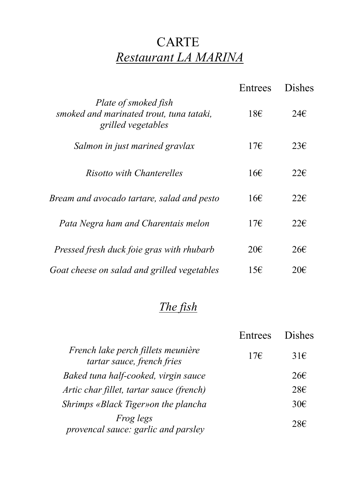## CARTE *Restaurant LA MARINA*

|                                                                                        | Entrees       | Dishes        |
|----------------------------------------------------------------------------------------|---------------|---------------|
| Plate of smoked fish<br>smoked and marinated trout, tuna tataki,<br>grilled vegetables | 18E           | 24E           |
| Salmon in just marined gravlax                                                         | 17E           | 23E           |
| Risotto with Chanterelles                                                              | $16 \epsilon$ | $22 \epsilon$ |
| Bream and avocado tartare, salad and pesto                                             | 16E           | $22 \epsilon$ |
| Pata Negra ham and Charentais melon                                                    | 17E           | 22E           |
| Pressed fresh duck foie gras with rhubarb                                              | $20 \epsilon$ | $26 \epsilon$ |
| Goat cheese on salad and grilled vegetables                                            | 15E           | $20 \epsilon$ |

#### *The fish*

|                                                                  | Entrees | <b>Dishes</b>   |
|------------------------------------------------------------------|---------|-----------------|
| French lake perch fillets meunière<br>tartar sauce, french fries | 17E     | $31\epsilon$    |
| Baked tuna half-cooked, virgin sauce                             |         | $26\varepsilon$ |
| Artic char fillet, tartar sauce (french)                         |         | 28E             |
| Shrimps «Black Tiger» on the plancha                             |         | $30 \in$        |
| <i>Frog legs</i><br>provencal sauce: garlic and parsley          |         | 28E             |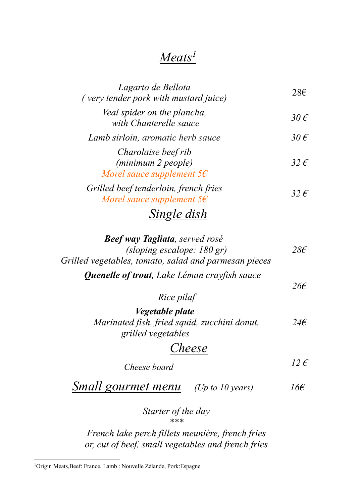#### *Meats1*

| Lagarto de Bellota<br>(very tender pork with mustard juice)              | 28E           |
|--------------------------------------------------------------------------|---------------|
| Veal spider on the plancha,<br>with Chanterelle sauce                    | 30 $\epsilon$ |
| Lamb sirloin, aromatic herb sauce                                        | 30 $\epsilon$ |
| Charolaise beef rib<br>(minimum 2 people)<br>Morel sauce supplement $5f$ | 32 $\epsilon$ |
| Grilled beef tenderloin, french fries<br>Morel sauce supplement $5f$     | 32 $\epsilon$ |
| Single dish                                                              |               |

| <b>Beef way Tagliata</b> , served rosé                                                |                 |
|---------------------------------------------------------------------------------------|-----------------|
| (sloping escalope: $180$ gr)<br>Grilled vegetables, tomato, salad and parmesan pieces | 28€             |
|                                                                                       |                 |
| <b>Quenelle of trout</b> , Lake Léman crayfish sauce                                  | $26\epsilon$    |
| Rice pilaf                                                                            |                 |
| <i>Vegetable plate</i>                                                                |                 |
| Marinated fish, fried squid, zucchini donut,<br>grilled vegetables                    | $24\epsilon$    |
| Cheese                                                                                |                 |
| Cheese board                                                                          | $12 \,\epsilon$ |
| <b>Small gourmet menu</b> (Up to 10 years)                                            | 16€             |
| Starter of the day                                                                    |                 |

*French lake perch fillets meunière, french fries or, cut of beef, small vegetables and french fries*

*\*\*\**

 $\frac{1}{1}$ Origin Meats,Beef: France, Lamb : Nouvelle Zélande, Pork:Espagne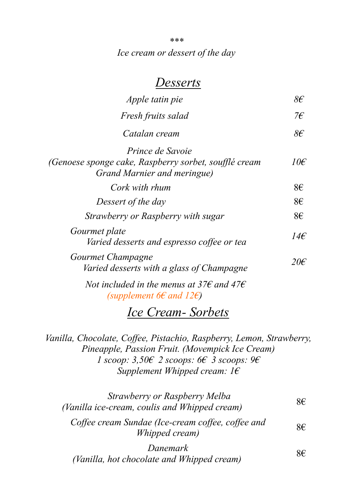*\*\*\* Ice cream or dessert of the day*

#### *Desserts*

| <i>Apple tatin pie</i>                                                                                          | $8\epsilon$   |
|-----------------------------------------------------------------------------------------------------------------|---------------|
| Fresh fruits salad                                                                                              | 7€            |
| Catalan cream                                                                                                   | $8\epsilon$   |
| <i>Prince de Savoie</i><br>(Genoese sponge cake, Raspberry sorbet, soufflé cream<br>Grand Marnier and meringue) | $10\epsilon$  |
| Cork with rhum                                                                                                  | 8€            |
| Dessert of the day                                                                                              | 8€            |
| Strawberry or Raspberry with sugar                                                                              | 8€            |
| Gourmet plate<br>Varied desserts and espresso coffee or tea                                                     | $14\epsilon$  |
| Gourmet Champagne<br>Varied desserts with a glass of Champagne                                                  | $20 \epsilon$ |
| Not included in the menus at 37 $\epsilon$ and 47 $\epsilon$                                                    |               |

*(supplement 6€ and 12€)*

#### *Ice Cream- Sorbets*

*Vanilla, Chocolate, Coffee, Pistachio, Raspberry, Lemon, Strawberry, Pineapple, Passion Fruit. (Movempick Ice Cream) 1 scoop: 3,50€ 2 scoops: 6€ 3 scoops: 9€ Supplement Whipped cream: 1€*

| Strawberry or Raspberry Melba<br>(Vanilla ice-cream, coulis and Whipped cream) | 8€  |
|--------------------------------------------------------------------------------|-----|
| Coffee cream Sundae (Ice-cream coffee, coffee and<br>Whipped cream)            | 8€  |
| Danemark<br>(Vanilla, hot chocolate and Whipped cream)                         | 8€. |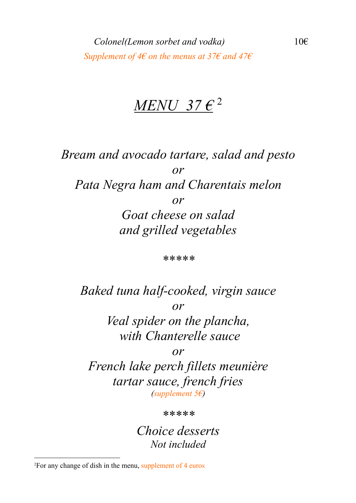## *MENU 37 €* <sup>2</sup>

*Bream and avocado tartare, salad and pesto or Pata Negra ham and Charentais melon or Goat cheese on salad and grilled vegetables*

*\*\*\*\*\**

*Baked tuna half-cooked, virgin sauce or Veal spider on the plancha, with Chanterelle sauce*

*or*

*French lake perch fillets meunière tartar sauce, french fries (supplement 5€)*

*\*\*\*\*\**

*Choice desserts Not included*

 $\frac{1}{2}$ For any change of dish in the menu, supplement of 4 euros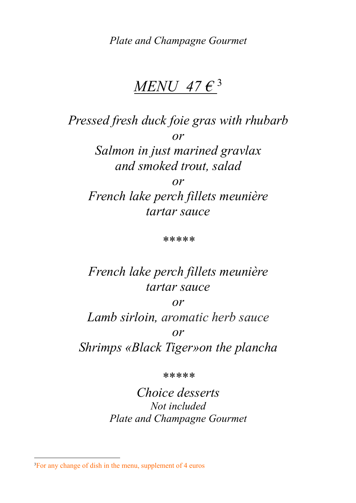*Plate and Champagne Gourmet*

## *MENU 47 €* <sup>3</sup>

*Pressed fresh duck foie gras with rhubarb or Salmon in just marined gravlax and smoked trout, salad or French lake perch fillets meunière tartar sauce*

*\*\*\*\*\**

### *French lake perch fillets meunière tartar sauce*

*or Lamb sirloin, aromatic herb sauce or Shrimps «Black Tiger»on the plancha*

*\*\*\*\*\**

*Choice desserts Not included Plate and Champagne Gourmet*

 $\frac{1}{3}$ <sup>3</sup>For any change of dish in the menu, supplement of 4 euros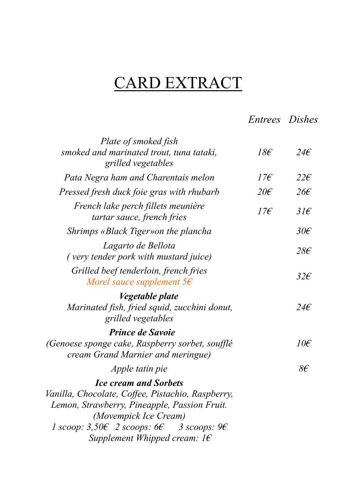# CARD EXTRACT

*Entrees Dishes*

| Plate of smoked fish                                                                                                                                                                                                                                            |               |               |
|-----------------------------------------------------------------------------------------------------------------------------------------------------------------------------------------------------------------------------------------------------------------|---------------|---------------|
| smoked and marinated trout, tuna tataki,<br>grilled vegetables                                                                                                                                                                                                  | $18\epsilon$  | $24\epsilon$  |
| Pata Negra ham and Charentais melon                                                                                                                                                                                                                             | 17f           | $22\epsilon$  |
| Pressed fresh duck foie gras with rhubarb                                                                                                                                                                                                                       | $20 \epsilon$ | $26 \epsilon$ |
| French lake perch fillets meunière<br>tartar sauce, french fries                                                                                                                                                                                                | $17\epsilon$  | $31\epsilon$  |
| Shrimps «Black Tiger» on the plancha                                                                                                                                                                                                                            |               | $30\epsilon$  |
| Lagarto de Bellota<br>(very tender pork with mustard juice)                                                                                                                                                                                                     |               | $28\epsilon$  |
| Grilled beef tenderloin, french fries<br>Morel sauce supplement $5 \epsilon$                                                                                                                                                                                    |               | $32\epsilon$  |
| <i>Vegetable plate</i><br>Marinated fish, fried squid, zucchini donut,<br>grilled vegetables                                                                                                                                                                    |               | $24\epsilon$  |
| <b>Prince de Savoie</b><br>(Genoese sponge cake, Raspberry sorbet, soufflé<br>cream Grand Marnier and meringue)                                                                                                                                                 |               | $10\epsilon$  |
| <i>Apple tatin pie</i>                                                                                                                                                                                                                                          |               | 86            |
| <b>Ice cream and Sorbets</b><br>Vanilla, Chocolate, Coffee, Pistachio, Raspberry,<br>Lemon, Strawberry, Pineapple, Passion Fruit.<br>(Movempick Ice Cream)<br>1 scoop: $3,50 \in 2$ scoops: 6 $\in 3$ scoops: 9 $\in$<br>Supplement Whipped cream: $1 \epsilon$ |               |               |